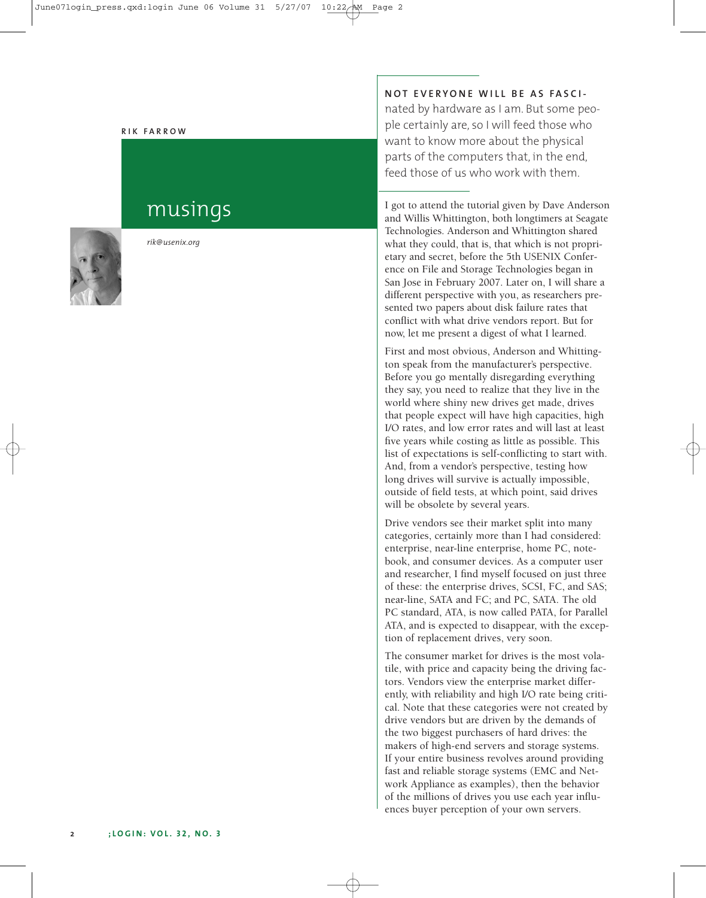#### **R I K F A R R O W**

# musings



*rik@usenix.org*

# **N O T E V E R Y O N E W I L L B E A S FA S C I -**

nated by hardware as I am. But some people certainly are, so I will feed those who want to know more about the physical parts of the computers that, in the end, feed those of us who work with them.

I got to attend the tutorial given by Dave Anderson and Willis Whittington, both longtimers at Seagate Technologies. Anderson and Whittington shared what they could, that is, that which is not proprietary and secret, before the 5th USENIX Conference on File and Storage Technologies began in San Jose in February 2007. Later on, I will share a different perspective with you, as researchers presented two papers about disk failure rates that conflict with what drive vendors report. But for now, let me present a digest of what I learned.

First and most obvious, Anderson and Whittington speak from the manufacturer's perspective. Before you go mentally disregarding everything they say, you need to realize that they live in the world where shiny new drives get made, drives that people expect will have high capacities, high I/O rates, and low error rates and will last at least five years while costing as little as possible. This list of expectations is self-conflicting to start with. And, from a vendor's perspective, testing how long drives will survive is actually impossible, outside of field tests, at which point, said drives will be obsolete by several years.

Drive vendors see their market split into many categories, certainly more than I had considered: enterprise, near-line enterprise, home PC, notebook, and consumer devices. As a computer user and researcher, I find myself focused on just three of these: the enterprise drives, SCSI, FC, and SAS; near-line, SATA and FC; and PC, SATA. The old PC standard, ATA, is now called PATA, for Parallel ATA, and is expected to disappear, with the exception of replacement drives, very soon.

The consumer market for drives is the most volatile, with price and capacity being the driving factors. Vendors view the enterprise market differently, with reliability and high I/O rate being critical. Note that these categories were not created by drive vendors but are driven by the demands of the two biggest purchasers of hard drives: the makers of high-end servers and storage systems. If your entire business revolves around providing fast and reliable storage systems (EMC and Network Appliance as examples), then the behavior of the millions of drives you use each year influences buyer perception of your own servers.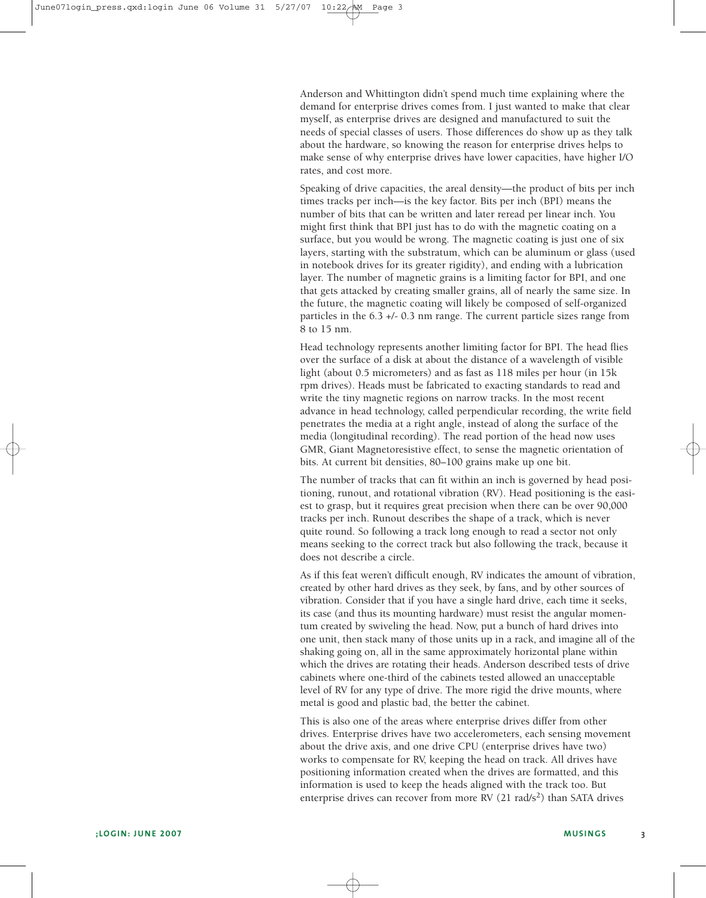Anderson and Whittington didn't spend much time explaining where the demand for enterprise drives comes from. I just wanted to make that clear myself, as enterprise drives are designed and manufactured to suit the needs of special classes of users. Those differences do show up as they talk about the hardware, so knowing the reason for enterprise drives helps to make sense of why enterprise drives have lower capacities, have higher I/O rates, and cost more.

Speaking of drive capacities, the areal density—the product of bits per inch times tracks per inch—is the key factor. Bits per inch (BPI) means the number of bits that can be written and later reread per linear inch. You might first think that BPI just has to do with the magnetic coating on a surface, but you would be wrong. The magnetic coating is just one of six layers, starting with the substratum, which can be aluminum or glass (used in notebook drives for its greater rigidity), and ending with a lubrication layer. The number of magnetic grains is a limiting factor for BPI, and one that gets attacked by creating smaller grains, all of nearly the same size. In the future, the magnetic coating will likely be composed of self-organized particles in the 6.3 +/- 0.3 nm range. The current particle sizes range from 8 to 15 nm.

Head technology represents another limiting factor for BPI. The head flies over the surface of a disk at about the distance of a wavelength of visible light (about 0.5 micrometers) and as fast as 118 miles per hour (in 15k rpm drives). Heads must be fabricated to exacting standards to read and write the tiny magnetic regions on narrow tracks. In the most recent advance in head technology, called perpendicular recording, the write field penetrates the media at a right angle, instead of along the surface of the media (longitudinal recording). The read portion of the head now uses GMR, Giant Magnetoresistive effect, to sense the magnetic orientation of bits. At current bit densities, 80–100 grains make up one bit.

The number of tracks that can fit within an inch is governed by head positioning, runout, and rotational vibration (RV). Head positioning is the easiest to grasp, but it requires great precision when there can be over 90,000 tracks per inch. Runout describes the shape of a track, which is never quite round. So following a track long enough to read a sector not only means seeking to the correct track but also following the track, because it does not describe a circle.

As if this feat weren't difficult enough, RV indicates the amount of vibration, created by other hard drives as they seek, by fans, and by other sources of vibration. Consider that if you have a single hard drive, each time it seeks, its case (and thus its mounting hardware) must resist the angular momentum created by swiveling the head. Now, put a bunch of hard drives into one unit, then stack many of those units up in a rack, and imagine all of the shaking going on, all in the same approximately horizontal plane within which the drives are rotating their heads. Anderson described tests of drive cabinets where one-third of the cabinets tested allowed an unacceptable level of RV for any type of drive. The more rigid the drive mounts, where metal is good and plastic bad, the better the cabinet.

This is also one of the areas where enterprise drives differ from other drives. Enterprise drives have two accelerometers, each sensing movement about the drive axis, and one drive CPU (enterprise drives have two) works to compensate for RV, keeping the head on track. All drives have positioning information created when the drives are formatted, and this information is used to keep the heads aligned with the track too. But enterprise drives can recover from more RV (21 rad/s<sup>2</sup>) than SATA drives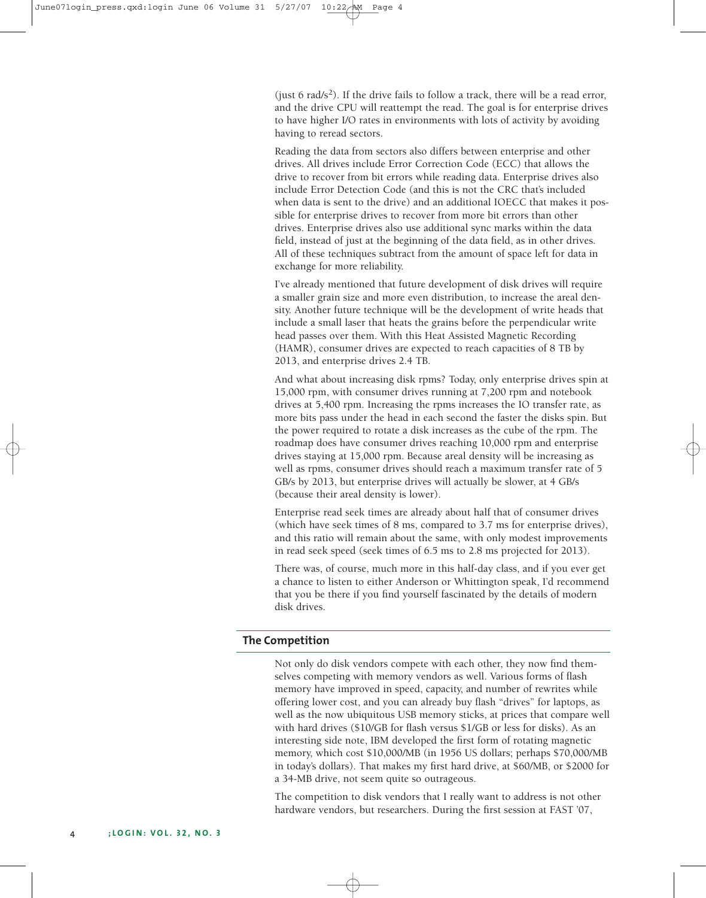(just 6 rad/ $s^2$ ). If the drive fails to follow a track, there will be a read error, and the drive CPU will reattempt the read. The goal is for enterprise drives to have higher I/O rates in environments with lots of activity by avoiding having to reread sectors.

Reading the data from sectors also differs between enterprise and other drives. All drives include Error Correction Code (ECC) that allows the drive to recover from bit errors while reading data. Enterprise drives also include Error Detection Code (and this is not the CRC that's included when data is sent to the drive) and an additional IOECC that makes it possible for enterprise drives to recover from more bit errors than other drives. Enterprise drives also use additional sync marks within the data field, instead of just at the beginning of the data field, as in other drives. All of these techniques subtract from the amount of space left for data in exchange for more reliability.

I've already mentioned that future development of disk drives will require a smaller grain size and more even distribution, to increase the areal density. Another future technique will be the development of write heads that include a small laser that heats the grains before the perpendicular write head passes over them. With this Heat Assisted Magnetic Recording (HAMR), consumer drives are expected to reach capacities of 8 TB by 2013, and enterprise drives 2.4 TB.

And what about increasing disk rpms? Today, only enterprise drives spin at 15,000 rpm, with consumer drives running at 7,200 rpm and notebook drives at 5,400 rpm. Increasing the rpms increases the IO transfer rate, as more bits pass under the head in each second the faster the disks spin. But the power required to rotate a disk increases as the cube of the rpm. The roadmap does have consumer drives reaching 10,000 rpm and enterprise drives staying at 15,000 rpm. Because areal density will be increasing as well as rpms, consumer drives should reach a maximum transfer rate of 5 GB/s by 2013, but enterprise drives will actually be slower, at 4 GB/s (because their areal density is lower).

Enterprise read seek times are already about half that of consumer drives (which have seek times of 8 ms, compared to 3.7 ms for enterprise drives), and this ratio will remain about the same, with only modest improvements in read seek speed (seek times of 6.5 ms to 2.8 ms projected for 2013).

There was, of course, much more in this half-day class, and if you ever get a chance to listen to either Anderson or Whittington speak, I'd recommend that you be there if you find yourself fascinated by the details of modern disk drives.

#### **The Competition**

Not only do disk vendors compete with each other, they now find themselves competing with memory vendors as well. Various forms of flash memory have improved in speed, capacity, and number of rewrites while offering lower cost, and you can already buy flash "drives" for laptops, as well as the now ubiquitous USB memory sticks, at prices that compare well with hard drives (\$10/GB for flash versus \$1/GB or less for disks). As an interesting side note, IBM developed the first form of rotating magnetic memory, which cost \$10,000/MB (in 1956 US dollars; perhaps \$70,000/MB in today's dollars). That makes my first hard drive, at \$60/MB, or \$2000 for a 34-MB drive, not seem quite so outrageous.

The competition to disk vendors that I really want to address is not other hardware vendors, but researchers. During the first session at FAST '07,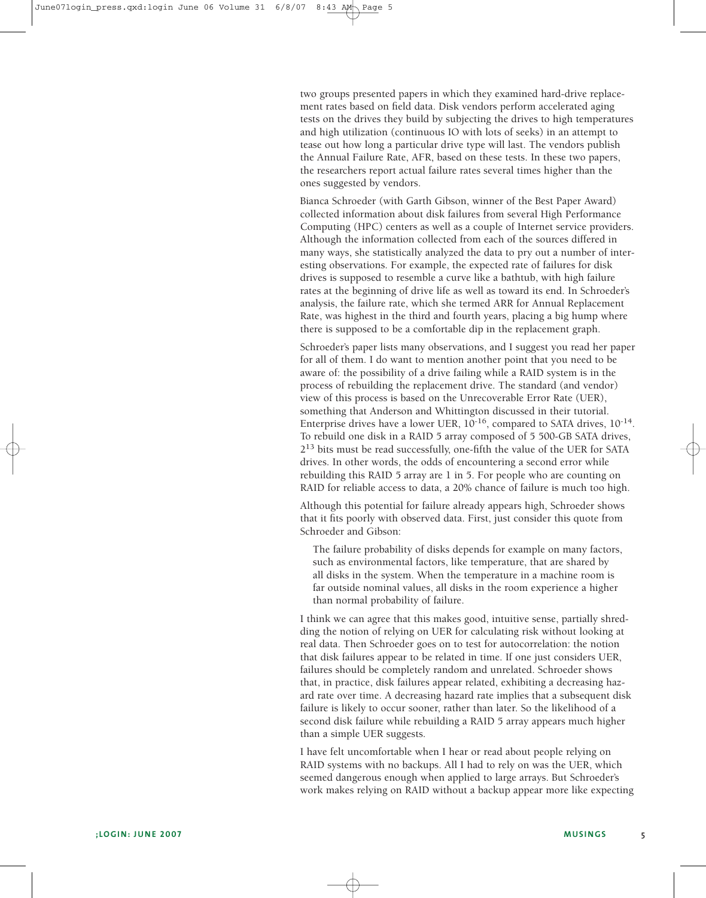two groups presented papers in which they examined hard-drive replacement rates based on field data. Disk vendors perform accelerated aging tests on the drives they build by subjecting the drives to high temperatures and high utilization (continuous IO with lots of seeks) in an attempt to tease out how long a particular drive type will last. The vendors publish the Annual Failure Rate, AFR, based on these tests. In these two papers, the researchers report actual failure rates several times higher than the ones suggested by vendors.

Bianca Schroeder (with Garth Gibson, winner of the Best Paper Award) collected information about disk failures from several High Performance Computing (HPC) centers as well as a couple of Internet service providers. Although the information collected from each of the sources differed in many ways, she statistically analyzed the data to pry out a number of interesting observations. For example, the expected rate of failures for disk drives is supposed to resemble a curve like a bathtub, with high failure rates at the beginning of drive life as well as toward its end. In Schroeder's analysis, the failure rate, which she termed ARR for Annual Replacement Rate, was highest in the third and fourth years, placing a big hump where there is supposed to be a comfortable dip in the replacement graph.

Schroeder's paper lists many observations, and I suggest you read her paper for all of them. I do want to mention another point that you need to be aware of: the possibility of a drive failing while a RAID system is in the process of rebuilding the replacement drive. The standard (and vendor) view of this process is based on the Unrecoverable Error Rate (UER), something that Anderson and Whittington discussed in their tutorial. Enterprise drives have a lower UER, 10-16, compared to SATA drives, 10-14. To rebuild one disk in a RAID 5 array composed of 5 500-GB SATA drives, 213 bits must be read successfully, one-fifth the value of the UER for SATA drives. In other words, the odds of encountering a second error while rebuilding this RAID 5 array are 1 in 5. For people who are counting on RAID for reliable access to data, a 20% chance of failure is much too high.

Although this potential for failure already appears high, Schroeder shows that it fits poorly with observed data. First, just consider this quote from Schroeder and Gibson:

The failure probability of disks depends for example on many factors, such as environmental factors, like temperature, that are shared by all disks in the system. When the temperature in a machine room is far outside nominal values, all disks in the room experience a higher than normal probability of failure.

I think we can agree that this makes good, intuitive sense, partially shredding the notion of relying on UER for calculating risk without looking at real data. Then Schroeder goes on to test for autocorrelation: the notion that disk failures appear to be related in time. If one just considers UER, failures should be completely random and unrelated. Schroeder shows that, in practice, disk failures appear related, exhibiting a decreasing hazard rate over time. A decreasing hazard rate implies that a subsequent disk failure is likely to occur sooner, rather than later. So the likelihood of a second disk failure while rebuilding a RAID 5 array appears much higher than a simple UER suggests.

I have felt uncomfortable when I hear or read about people relying on RAID systems with no backups. All I had to rely on was the UER, which seemed dangerous enough when applied to large arrays. But Schroeder's work makes relying on RAID without a backup appear more like expecting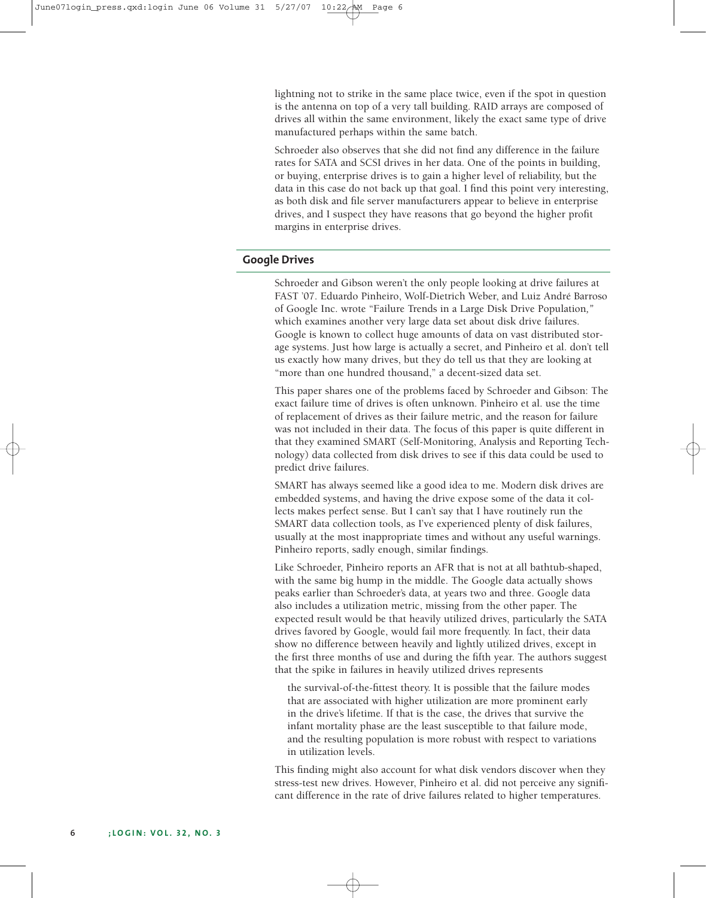lightning not to strike in the same place twice, even if the spot in question is the antenna on top of a very tall building. RAID arrays are composed of drives all within the same environment, likely the exact same type of drive manufactured perhaps within the same batch.

Schroeder also observes that she did not find any difference in the failure rates for SATA and SCSI drives in her data. One of the points in building, or buying, enterprise drives is to gain a higher level of reliability, but the data in this case do not back up that goal. I find this point very interesting, as both disk and file server manufacturers appear to believe in enterprise drives, and I suspect they have reasons that go beyond the higher profit margins in enterprise drives.

## **Google Drives**

Schroeder and Gibson weren't the only people looking at drive failures at FAST '07. Eduardo Pinheiro, Wolf-Dietrich Weber, and Luiz André Barroso of Google Inc. wrote "Failure Trends in a Large Disk Drive Population*,"* which examines another very large data set about disk drive failures. Google is known to collect huge amounts of data on vast distributed storage systems. Just how large is actually a secret, and Pinheiro et al. don't tell us exactly how many drives, but they do tell us that they are looking at "more than one hundred thousand," a decent-sized data set.

This paper shares one of the problems faced by Schroeder and Gibson: The exact failure time of drives is often unknown. Pinheiro et al. use the time of replacement of drives as their failure metric, and the reason for failure was not included in their data. The focus of this paper is quite different in that they examined SMART (Self-Monitoring, Analysis and Reporting Technology) data collected from disk drives to see if this data could be used to predict drive failures.

SMART has always seemed like a good idea to me. Modern disk drives are embedded systems, and having the drive expose some of the data it collects makes perfect sense. But I can't say that I have routinely run the SMART data collection tools, as I've experienced plenty of disk failures, usually at the most inappropriate times and without any useful warnings. Pinheiro reports, sadly enough, similar findings.

Like Schroeder, Pinheiro reports an AFR that is not at all bathtub-shaped, with the same big hump in the middle. The Google data actually shows peaks earlier than Schroeder's data, at years two and three. Google data also includes a utilization metric, missing from the other paper. The expected result would be that heavily utilized drives, particularly the SATA drives favored by Google, would fail more frequently. In fact, their data show no difference between heavily and lightly utilized drives, except in the first three months of use and during the fifth year. The authors suggest that the spike in failures in heavily utilized drives represents

the survival-of-the-fittest theory. It is possible that the failure modes that are associated with higher utilization are more prominent early in the drive's lifetime. If that is the case, the drives that survive the infant mortality phase are the least susceptible to that failure mode, and the resulting population is more robust with respect to variations in utilization levels.

This finding might also account for what disk vendors discover when they stress-test new drives. However, Pinheiro et al. did not perceive any significant difference in the rate of drive failures related to higher temperatures.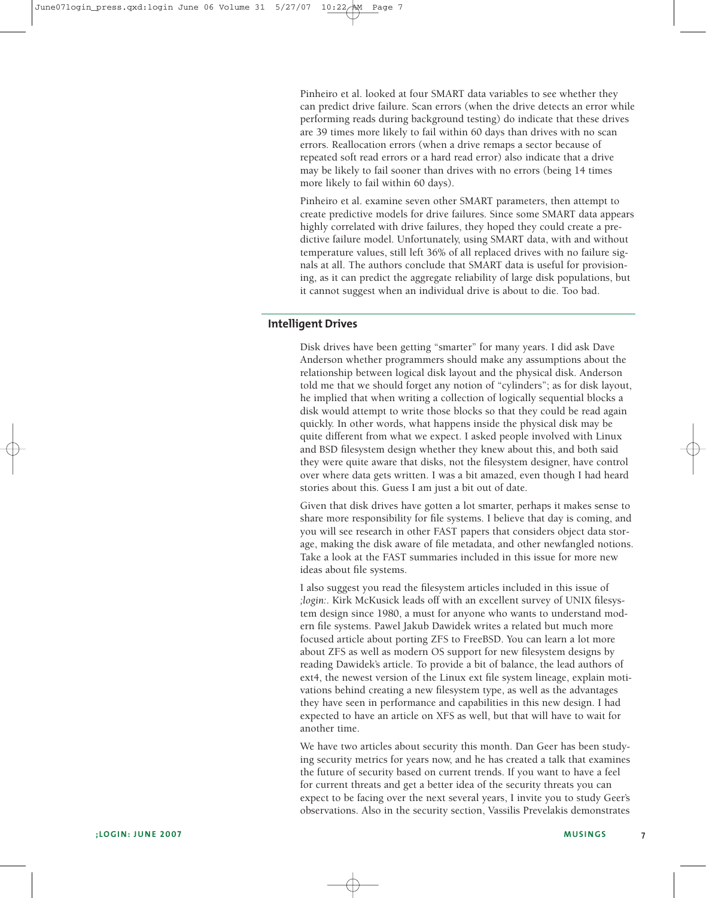Pinheiro et al. looked at four SMART data variables to see whether they can predict drive failure. Scan errors (when the drive detects an error while performing reads during background testing) do indicate that these drives are 39 times more likely to fail within 60 days than drives with no scan errors. Reallocation errors (when a drive remaps a sector because of repeated soft read errors or a hard read error) also indicate that a drive may be likely to fail sooner than drives with no errors (being 14 times more likely to fail within 60 days).

Pinheiro et al. examine seven other SMART parameters, then attempt to create predictive models for drive failures. Since some SMART data appears highly correlated with drive failures, they hoped they could create a predictive failure model. Unfortunately, using SMART data, with and without temperature values, still left 36% of all replaced drives with no failure signals at all. The authors conclude that SMART data is useful for provisioning, as it can predict the aggregate reliability of large disk populations, but it cannot suggest when an individual drive is about to die. Too bad.

## **Intelligent Drives**

Disk drives have been getting "smarter" for many years. I did ask Dave Anderson whether programmers should make any assumptions about the relationship between logical disk layout and the physical disk. Anderson told me that we should forget any notion of "cylinders"; as for disk layout, he implied that when writing a collection of logically sequential blocks a disk would attempt to write those blocks so that they could be read again quickly. In other words, what happens inside the physical disk may be quite different from what we expect. I asked people involved with Linux and BSD filesystem design whether they knew about this, and both said they were quite aware that disks, not the filesystem designer, have control over where data gets written. I was a bit amazed, even though I had heard stories about this. Guess I am just a bit out of date.

Given that disk drives have gotten a lot smarter, perhaps it makes sense to share more responsibility for file systems. I believe that day is coming, and you will see research in other FAST papers that considers object data storage, making the disk aware of file metadata, and other newfangled notions. Take a look at the FAST summaries included in this issue for more new ideas about file systems.

I also suggest you read the filesystem articles included in this issue of *;login:*. Kirk McKusick leads off with an excellent survey of UNIX filesystem design since 1980, a must for anyone who wants to understand modern file systems. Pawel Jakub Dawidek writes a related but much more focused article about porting ZFS to FreeBSD. You can learn a lot more about ZFS as well as modern OS support for new filesystem designs by reading Dawidek's article. To provide a bit of balance, the lead authors of ext4, the newest version of the Linux ext file system lineage, explain motivations behind creating a new filesystem type, as well as the advantages they have seen in performance and capabilities in this new design. I had expected to have an article on XFS as well, but that will have to wait for another time.

We have two articles about security this month. Dan Geer has been studying security metrics for years now, and he has created a talk that examines the future of security based on current trends. If you want to have a feel for current threats and get a better idea of the security threats you can expect to be facing over the next several years, I invite you to study Geer's observations. Also in the security section, Vassilis Prevelakis demonstrates